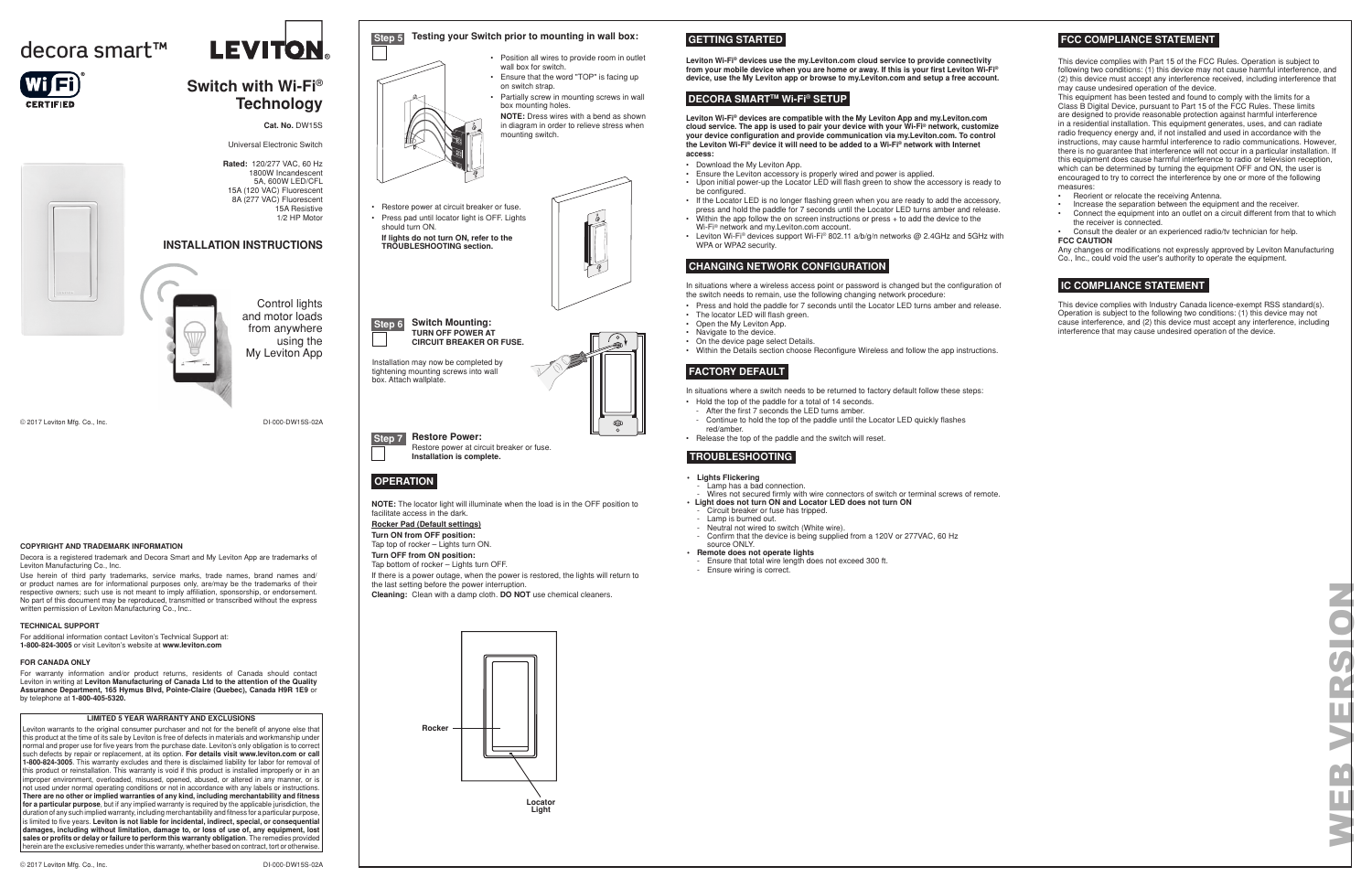#### **LIMITED 5 YEAR WARRANTY AND EXCLUSIONS**

Leviton warrants to the original consumer purchaser and not for the benefit of anyone else that this product at the time of its sale by Leviton is free of defects in materials and workmanship under normal and proper use for five years from the purchase date. Leviton's only obligation is to correct such defects by repair or replacement, at its option. **For details visit www.leviton.com or call 1-800-824-3005**. This warranty excludes and there is disclaimed liability for labor for removal of this product or reinstallation. This warranty is void if this product is installed improperly or in an improper environment, overloaded, misused, opened, abused, or altered in any manner, or is not used under normal operating conditions or not in accordance with any labels or instructions. **There are no other or implied warranties of any kind, including merchantability and fitness for a particular purpose**, but if any implied warranty is required by the applicable jurisdiction, the duration of any such implied warranty, including merchantability and fitness for a particular purpose, is limited to five years. **Leviton is not liable for incidental, indirect, special, or consequential damages, including without limitation, damage to, or loss of use of, any equipment, lost sales or profits or delay or failure to perform this warranty obligation**. The remedies provided herein are the exclusive remedies under this warranty, whether based on contract, tort or otherwise.

DI-000-DW15S-02A

#### **FOR CANADA ONLY**

For warranty information and/or product returns, residents of Canada should contact Leviton in writing at **Leviton Manufacturing of Canada Ltd to the attention of the Quality Assurance Department, 165 Hymus Blvd, Pointe-Claire (Quebec), Canada H9R 1E9** or by telephone at **1-800-405-5320.**

© 2017 Leviton Mfg. Co., Inc.

### **COPYRIGHT AND TRADEMARK INFORMATION**

Decora is a registered trademark and Decora Smart and My Leviton App are trademarks of Leviton Manufacturing Co., Inc.

Use herein of third party trademarks, service marks, trade names, brand names and/ or product names are for informational purposes only, are/may be the trademarks of their respective owners; such use is not meant to imply affiliation, sponsorship, or endorsement. No part of this document may be reproduced, transmitted or transcribed without the express written permission of Leviton Manufacturing Co., Inc..

#### **TECHNICAL SUPPORT**

For additional information contact Leviton's Technical Support at: **1-800-824-3005** or visit Leviton's website at **www.leviton.com**

# **INSTALLATION INSTRUCTIONS**



# **Switch with Wi-Fi®**

**Technology**

**Cat. No.** DW15S Universal Electronic Switch

**Rated:** 120/277 VAC, 60 Hz 1800W Incandescent 5A, 600W LED/CFL 15A (120 VAC) Fluorescent 8A (277 VAC) Fluorescent 15A Resistive 1/2 HP Motor

Control lights and motor loads from anywhere using the My Leviton App

- Press and hold the paddle for 7 seconds until the Locator LED turns amber and release.
- The locator LED will flash green.
- Open the My Leviton App.
- Navigate to the device.
- On the device page select Details.
- Within the Details section choose Reconfigure Wireless and follow the app instructions.

**NOTE:** The locator light will illuminate when the load is in the OFF position to facilitate access in the dark.

**Rocker Pad (Default settings)**

**Turn ON from OFF position:** Tap top of rocker – Lights turn ON. **Turn OFF from ON position:**

Tap bottom of rocker – Lights turn OFF.

If there is a power outage, when the power is restored, the lights will return to the last setting before the power interruption.

**Cleaning:** Clean with a damp cloth. **DO NOT** use chemical cleaners.

**Rocker Locator Light**

This device complies with Part 15 of the FCC Rules. Operation is subject to following two conditions: (1) this device may not cause harmful interference, and (2) this device must accept any interference received, including interference that may cause undesired operation of the device.



This equipment has been tested and found to comply with the limits for a Class B Digital Device, pursuant to Part 15 of the FCC Rules. These limits are designed to provide reasonable protection against harmful interference in a residential installation. This equipment generates, uses, and can radiate radio frequency energy and, if not installed and used in accordance with the instructions, may cause harmful interference to radio communications. However, there is no guarantee that interference will not occur in a particular installation. If this equipment does cause harmful interference to radio or television reception, which can be determined by turning the equipment OFF and ON, the user is encouraged to try to correct the interference by one or more of the following measures:

- Reorient or relocate the receiving Antenna.
- Increase the separation between the equipment and the receiver.
- Connect the equipment into an outlet on a circuit different from that to which the receiver is connected.
- Consult the dealer or an experienced radio/tv technician for help. **FCC CAUTION**

Any changes or modifications not expressly approved by Leviton Manufacturing Co., Inc., could void the user's authority to operate the equipment.

# **FCC COMPLIANCE STATEMENT**

# **IC COMPLIANCE STATEMENT**

This device complies with Industry Canada licence-exempt RSS standard(s). Operation is subject to the following two conditions: (1) this device may not cause interference, and (2) this device must accept any interference, including interference that may cause undesired operation of the device.

- 
- **Lights Flickering** - Lamp has a bad connection.
- Wires not secured firmly with wire connectors of switch or terminal screws of remote. **• Light does not turn ON and Locator LED does not turn ON**
- Circuit breaker or fuse has tripped.
- Lamp is burned out.
- Neutral not wired to switch (White wire).
- Confirm that the device is being supplied from a 120V or 277VAC, 60 Hz source ONLY.
- **Remote does not operate lights**
- Ensure that total wire length does not exceed 300 ft.
- Ensure wiring is correct.

# **TROUBLESHOOTING**

**Leviton Wi-Fi® devices use the my.Leviton.com cloud service to provide connectivity from your mobile device when you are home or away. If this is your first Leviton Wi-Fi® device, use the My Leviton app or browse to my.Leviton.com and setup a free account.**

# **DECORA SMART™ Wi-Fi® SETUP**

# **CHANGING NETWORK CONFIGURATION**

In situations where a wireless access point or password is changed but the configuration of the switch needs to remain, use the following changing network procedure:

# **FACTORY DEFAULT**

In situations where a switch needs to be returned to factory default follow these steps:

- Hold the top of the paddle for a total of 14 seconds.
- After the first 7 seconds the LED turns amber.
- Continue to hold the top of the paddle until the Locator LED quickly flashes red/amber.
- Release the top of the paddle and the switch will reset.

**Leviton Wi-Fi® devices are compatible with the My Leviton App and my.Leviton.com cloud service. The app is used to pair your device with your Wi-Fi® network, customize your device configuration and provide communication via my.Leviton.com. To control the Leviton Wi-Fi® device it will need to be added to a Wi-Fi® network with Internet access:**

- Download the My Leviton App.
- Ensure the Leviton accessory is properly wired and power is applied.
- Upon initial power-up the Locator LED will flash green to show the accessory is ready to be configured.
- If the Locator LED is no longer flashing green when you are ready to add the accessory, press and hold the paddle for 7 seconds until the Locator LED turns amber and release. Within the app follow the on screen instructions or press + to add the device to the
- Wi-Fi® network and my.Leviton.com account.
- Leviton Wi-Fi® devices support Wi-Fi® 802.11 a/b/g/n networks @ 2.4GHz and 5GHz with WPA or WPA2 security.